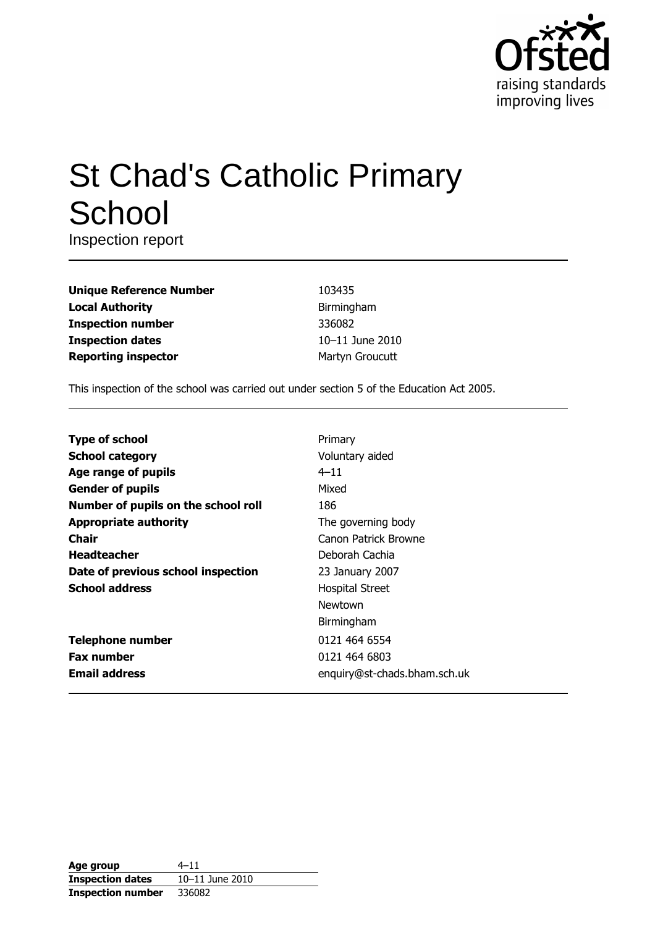

# **St Chad's Catholic Primary** School

Inspection report

| <b>Unique Reference Number</b> |
|--------------------------------|
| <b>Local Authority</b>         |
| <b>Inspection number</b>       |
| <b>Inspection dates</b>        |
| <b>Reporting inspector</b>     |

103435 Birmingham 336082 10-11 June 2010 Martyn Groucutt

This inspection of the school was carried out under section 5 of the Education Act 2005.

| <b>Type of school</b>               | Primary                      |
|-------------------------------------|------------------------------|
| <b>School category</b>              | Voluntary aided              |
| Age range of pupils                 | $4 - 11$                     |
| <b>Gender of pupils</b>             | Mixed                        |
| Number of pupils on the school roll | 186                          |
| <b>Appropriate authority</b>        | The governing body           |
| Chair                               | Canon Patrick Browne         |
| <b>Headteacher</b>                  | Deborah Cachia               |
| Date of previous school inspection  | 23 January 2007              |
| <b>School address</b>               | <b>Hospital Street</b>       |
|                                     | Newtown                      |
|                                     | Birmingham                   |
| <b>Telephone number</b>             | 0121 464 6554                |
| <b>Fax number</b>                   | 0121 464 6803                |
| <b>Email address</b>                | enquiry@st-chads.bham.sch.uk |

| Age group                | $4 - 11$        |
|--------------------------|-----------------|
| <b>Inspection dates</b>  | 10-11 June 2010 |
| <b>Inspection number</b> | 336082          |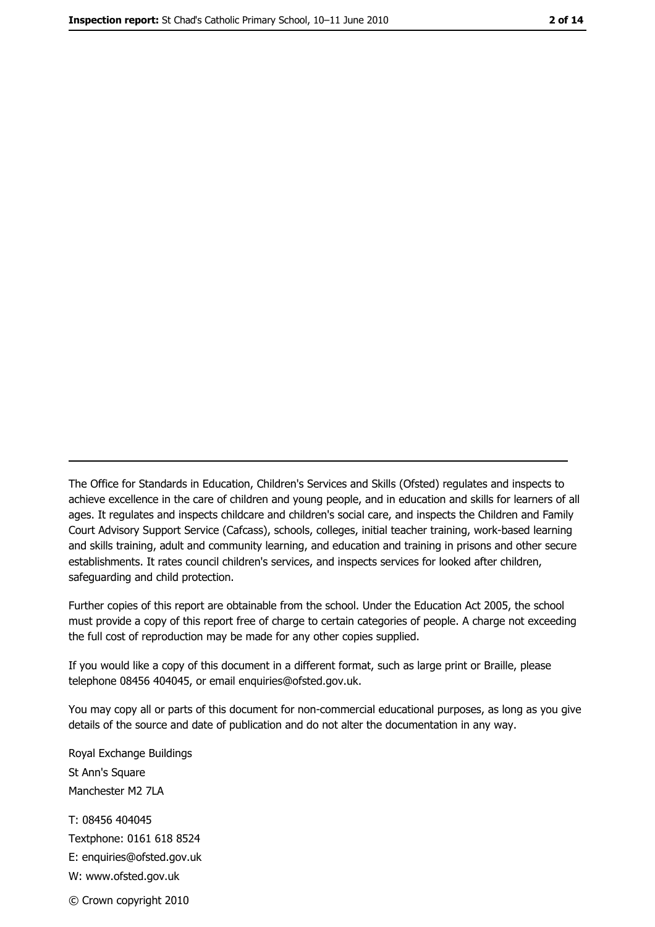The Office for Standards in Education, Children's Services and Skills (Ofsted) regulates and inspects to achieve excellence in the care of children and young people, and in education and skills for learners of all ages. It regulates and inspects childcare and children's social care, and inspects the Children and Family Court Advisory Support Service (Cafcass), schools, colleges, initial teacher training, work-based learning and skills training, adult and community learning, and education and training in prisons and other secure establishments. It rates council children's services, and inspects services for looked after children, safequarding and child protection.

Further copies of this report are obtainable from the school. Under the Education Act 2005, the school must provide a copy of this report free of charge to certain categories of people. A charge not exceeding the full cost of reproduction may be made for any other copies supplied.

If you would like a copy of this document in a different format, such as large print or Braille, please telephone 08456 404045, or email enquiries@ofsted.gov.uk.

You may copy all or parts of this document for non-commercial educational purposes, as long as you give details of the source and date of publication and do not alter the documentation in any way.

Royal Exchange Buildings St Ann's Square Manchester M2 7LA T: 08456 404045 Textphone: 0161 618 8524 E: enquiries@ofsted.gov.uk W: www.ofsted.gov.uk © Crown copyright 2010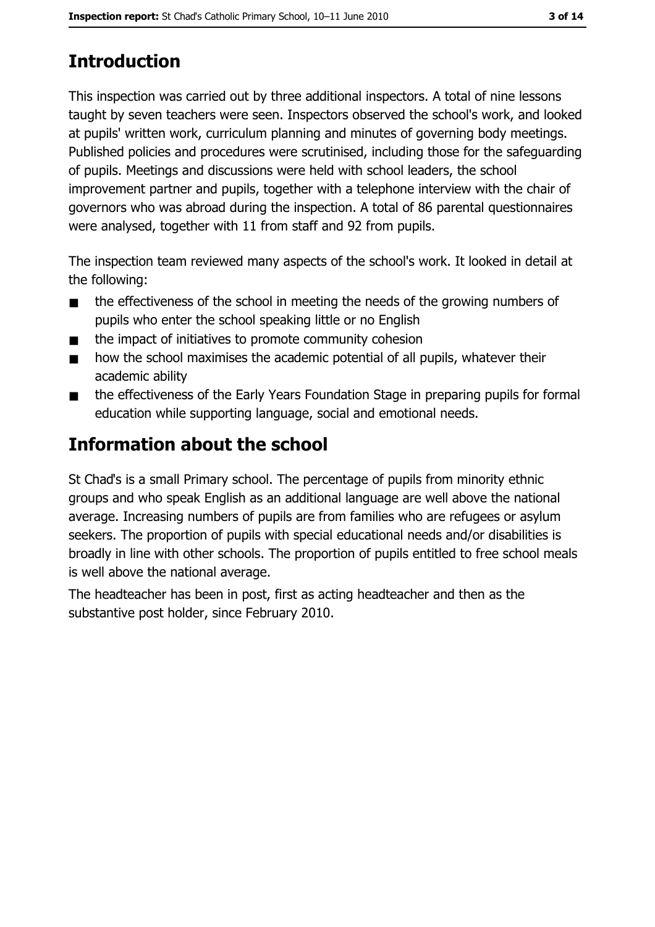# **Introduction**

This inspection was carried out by three additional inspectors. A total of nine lessons taught by seven teachers were seen. Inspectors observed the school's work, and looked at pupils' written work, curriculum planning and minutes of governing body meetings. Published policies and procedures were scrutinised, including those for the safeguarding of pupils. Meetings and discussions were held with school leaders, the school improvement partner and pupils, together with a telephone interview with the chair of governors who was abroad during the inspection. A total of 86 parental questionnaires were analysed, together with 11 from staff and 92 from pupils.

The inspection team reviewed many aspects of the school's work. It looked in detail at the following:

- the effectiveness of the school in meeting the needs of the growing numbers of  $\blacksquare$ pupils who enter the school speaking little or no English
- the impact of initiatives to promote community cohesion  $\blacksquare$
- how the school maximises the academic potential of all pupils, whatever their  $\blacksquare$ academic ability
- the effectiveness of the Early Years Foundation Stage in preparing pupils for formal  $\blacksquare$ education while supporting language, social and emotional needs.

# Information about the school

St Chad's is a small Primary school. The percentage of pupils from minority ethnic groups and who speak English as an additional language are well above the national average. Increasing numbers of pupils are from families who are refugees or asylum seekers. The proportion of pupils with special educational needs and/or disabilities is broadly in line with other schools. The proportion of pupils entitled to free school meals is well above the national average.

The headteacher has been in post, first as acting headteacher and then as the substantive post holder, since February 2010.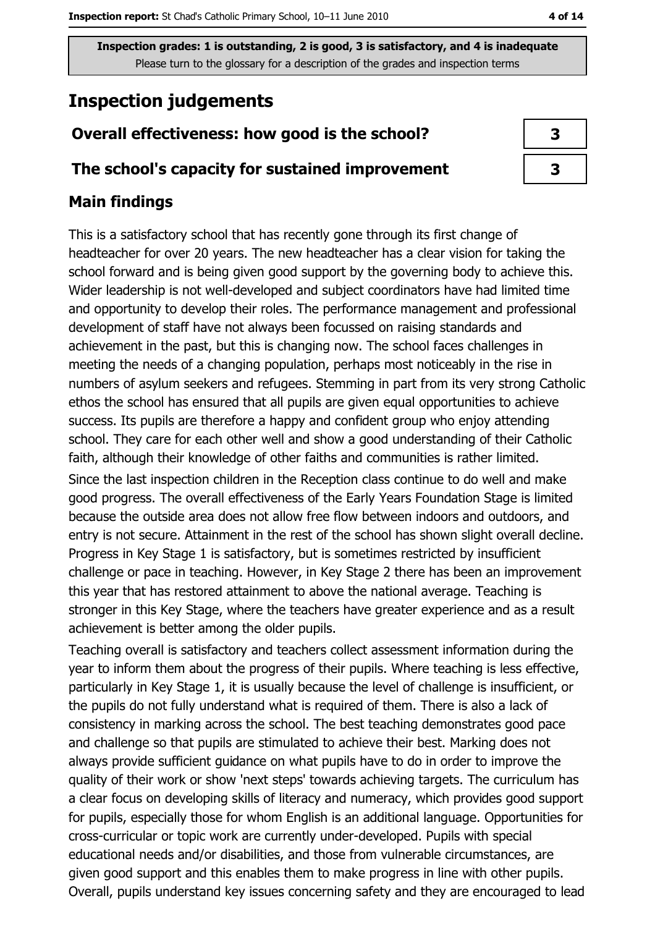# **Inspection judgements**

# Overall effectiveness: how good is the school?

## The school's capacity for sustained improvement

# **Main findings**

This is a satisfactory school that has recently gone through its first change of headteacher for over 20 years. The new headteacher has a clear vision for taking the school forward and is being given good support by the governing body to achieve this. Wider leadership is not well-developed and subject coordinators have had limited time and opportunity to develop their roles. The performance management and professional development of staff have not always been focussed on raising standards and achievement in the past, but this is changing now. The school faces challenges in meeting the needs of a changing population, perhaps most noticeably in the rise in numbers of asylum seekers and refugees. Stemming in part from its very strong Catholic ethos the school has ensured that all pupils are given equal opportunities to achieve success. Its pupils are therefore a happy and confident group who enjoy attending school. They care for each other well and show a good understanding of their Catholic faith, although their knowledge of other faiths and communities is rather limited.

Since the last inspection children in the Reception class continue to do well and make good progress. The overall effectiveness of the Early Years Foundation Stage is limited because the outside area does not allow free flow between indoors and outdoors, and entry is not secure. Attainment in the rest of the school has shown slight overall decline. Progress in Key Stage 1 is satisfactory, but is sometimes restricted by insufficient challenge or pace in teaching. However, in Key Stage 2 there has been an improvement this year that has restored attainment to above the national average. Teaching is stronger in this Key Stage, where the teachers have greater experience and as a result achievement is better among the older pupils.

Teaching overall is satisfactory and teachers collect assessment information during the year to inform them about the progress of their pupils. Where teaching is less effective, particularly in Key Stage 1, it is usually because the level of challenge is insufficient, or the pupils do not fully understand what is required of them. There is also a lack of consistency in marking across the school. The best teaching demonstrates good pace and challenge so that pupils are stimulated to achieve their best. Marking does not always provide sufficient guidance on what pupils have to do in order to improve the quality of their work or show 'next steps' towards achieving targets. The curriculum has a clear focus on developing skills of literacy and numeracy, which provides good support for pupils, especially those for whom English is an additional language. Opportunities for cross-curricular or topic work are currently under-developed. Pupils with special educational needs and/or disabilities, and those from vulnerable circumstances, are given good support and this enables them to make progress in line with other pupils. Overall, pupils understand key issues concerning safety and they are encouraged to lead

| 3 |  |
|---|--|
| 3 |  |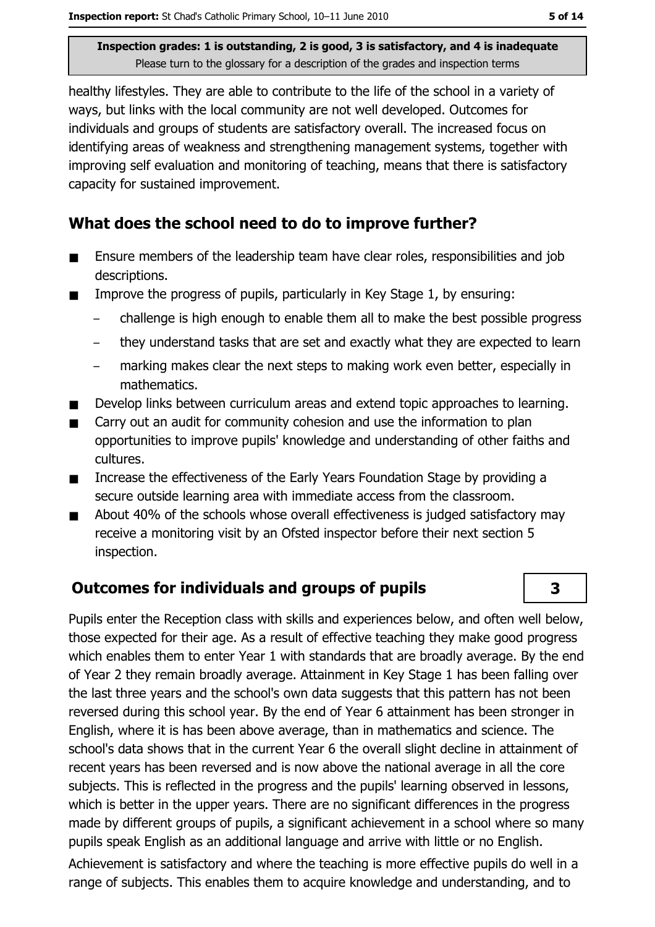healthy lifestyles. They are able to contribute to the life of the school in a variety of ways, but links with the local community are not well developed. Outcomes for individuals and groups of students are satisfactory overall. The increased focus on identifying areas of weakness and strengthening management systems, together with improving self evaluation and monitoring of teaching, means that there is satisfactory capacity for sustained improvement.

## What does the school need to do to improve further?

- Ensure members of the leadership team have clear roles, responsibilities and job  $\blacksquare$ descriptions.
- $\blacksquare$ Improve the progress of pupils, particularly in Key Stage 1, by ensuring:
	- challenge is high enough to enable them all to make the best possible progress
	- they understand tasks that are set and exactly what they are expected to learn  $\equiv$
	- marking makes clear the next steps to making work even better, especially in  $\equiv$ mathematics.
- Develop links between curriculum areas and extend topic approaches to learning.  $\blacksquare$
- Carry out an audit for community cohesion and use the information to plan opportunities to improve pupils' knowledge and understanding of other faiths and cultures.
- Increase the effectiveness of the Early Years Foundation Stage by providing a  $\blacksquare$ secure outside learning area with immediate access from the classroom.
- About 40% of the schools whose overall effectiveness is judged satisfactory may  $\blacksquare$ receive a monitoring visit by an Ofsted inspector before their next section 5 inspection.

# Outcomes for individuals and groups of pupils

Pupils enter the Reception class with skills and experiences below, and often well below, those expected for their age. As a result of effective teaching they make good progress which enables them to enter Year 1 with standards that are broadly average. By the end of Year 2 they remain broadly average. Attainment in Key Stage 1 has been falling over the last three vears and the school's own data suggests that this pattern has not been reversed during this school year. By the end of Year 6 attainment has been stronger in English, where it is has been above average, than in mathematics and science. The school's data shows that in the current Year 6 the overall slight decline in attainment of recent years has been reversed and is now above the national average in all the core subjects. This is reflected in the progress and the pupils' learning observed in lessons, which is better in the upper years. There are no significant differences in the progress made by different groups of pupils, a significant achievement in a school where so many pupils speak English as an additional language and arrive with little or no English.

Achievement is satisfactory and where the teaching is more effective pupils do well in a range of subjects. This enables them to acquire knowledge and understanding, and to

3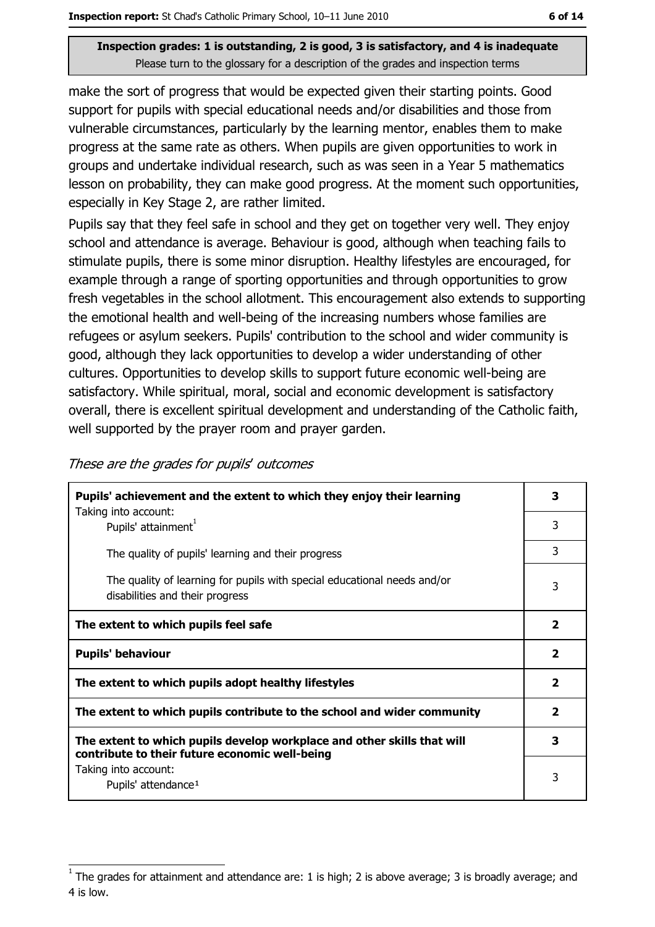make the sort of progress that would be expected given their starting points. Good support for pupils with special educational needs and/or disabilities and those from vulnerable circumstances, particularly by the learning mentor, enables them to make progress at the same rate as others. When pupils are given opportunities to work in groups and undertake individual research, such as was seen in a Year 5 mathematics lesson on probability, they can make good progress. At the moment such opportunities, especially in Key Stage 2, are rather limited.

Pupils say that they feel safe in school and they get on together very well. They enjoy school and attendance is average. Behaviour is good, although when teaching fails to stimulate pupils, there is some minor disruption. Healthy lifestyles are encouraged, for example through a range of sporting opportunities and through opportunities to grow fresh vegetables in the school allotment. This encouragement also extends to supporting the emotional health and well-being of the increasing numbers whose families are refugees or asylum seekers. Pupils' contribution to the school and wider community is good, although they lack opportunities to develop a wider understanding of other cultures. Opportunities to develop skills to support future economic well-being are satisfactory. While spiritual, moral, social and economic development is satisfactory overall, there is excellent spiritual development and understanding of the Catholic faith, well supported by the prayer room and prayer garden.

| Pupils' achievement and the extent to which they enjoy their learning                                                     |                |  |
|---------------------------------------------------------------------------------------------------------------------------|----------------|--|
| Taking into account:<br>Pupils' attainment <sup>1</sup>                                                                   | 3              |  |
| The quality of pupils' learning and their progress                                                                        | 3              |  |
| The quality of learning for pupils with special educational needs and/or<br>disabilities and their progress               | 3              |  |
| The extent to which pupils feel safe                                                                                      | $\overline{2}$ |  |
| <b>Pupils' behaviour</b>                                                                                                  |                |  |
| The extent to which pupils adopt healthy lifestyles                                                                       |                |  |
| The extent to which pupils contribute to the school and wider community                                                   |                |  |
| The extent to which pupils develop workplace and other skills that will<br>contribute to their future economic well-being |                |  |
| Taking into account:<br>Pupils' attendance <sup>1</sup>                                                                   | 3              |  |

These are the grades for pupils' outcomes

The grades for attainment and attendance are: 1 is high; 2 is above average; 3 is broadly average; and 4 is low.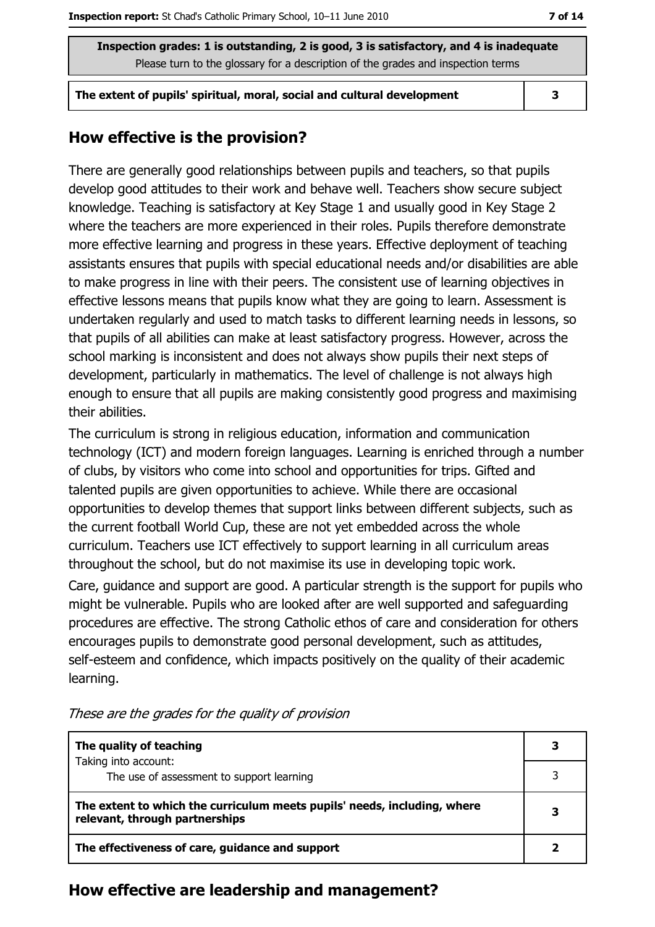The extent of pupils' spiritual, moral, social and cultural development

 $\overline{\mathbf{3}}$ 

## How effective is the provision?

There are generally good relationships between pupils and teachers, so that pupils develop good attitudes to their work and behave well. Teachers show secure subject knowledge. Teaching is satisfactory at Key Stage 1 and usually good in Key Stage 2 where the teachers are more experienced in their roles. Pupils therefore demonstrate more effective learning and progress in these years. Effective deployment of teaching assistants ensures that pupils with special educational needs and/or disabilities are able to make progress in line with their peers. The consistent use of learning objectives in effective lessons means that pupils know what they are going to learn. Assessment is undertaken regularly and used to match tasks to different learning needs in lessons, so that pupils of all abilities can make at least satisfactory progress. However, across the school marking is inconsistent and does not always show pupils their next steps of development, particularly in mathematics. The level of challenge is not always high enough to ensure that all pupils are making consistently good progress and maximising their abilities.

The curriculum is strong in religious education, information and communication technology (ICT) and modern foreign languages. Learning is enriched through a number of clubs, by visitors who come into school and opportunities for trips. Gifted and talented pupils are given opportunities to achieve. While there are occasional opportunities to develop themes that support links between different subjects, such as the current football World Cup, these are not yet embedded across the whole curriculum. Teachers use ICT effectively to support learning in all curriculum areas throughout the school, but do not maximise its use in developing topic work.

Care, guidance and support are good. A particular strength is the support for pupils who might be vulnerable. Pupils who are looked after are well supported and safeguarding procedures are effective. The strong Catholic ethos of care and consideration for others encourages pupils to demonstrate good personal development, such as attitudes, self-esteem and confidence, which impacts positively on the quality of their academic learning.

| The quality of teaching                                                                                    |  |  |
|------------------------------------------------------------------------------------------------------------|--|--|
| Taking into account:<br>The use of assessment to support learning                                          |  |  |
| The extent to which the curriculum meets pupils' needs, including, where<br>relevant, through partnerships |  |  |
| The effectiveness of care, guidance and support                                                            |  |  |

These are the grades for the quality of provision

#### How effective are leadership and management?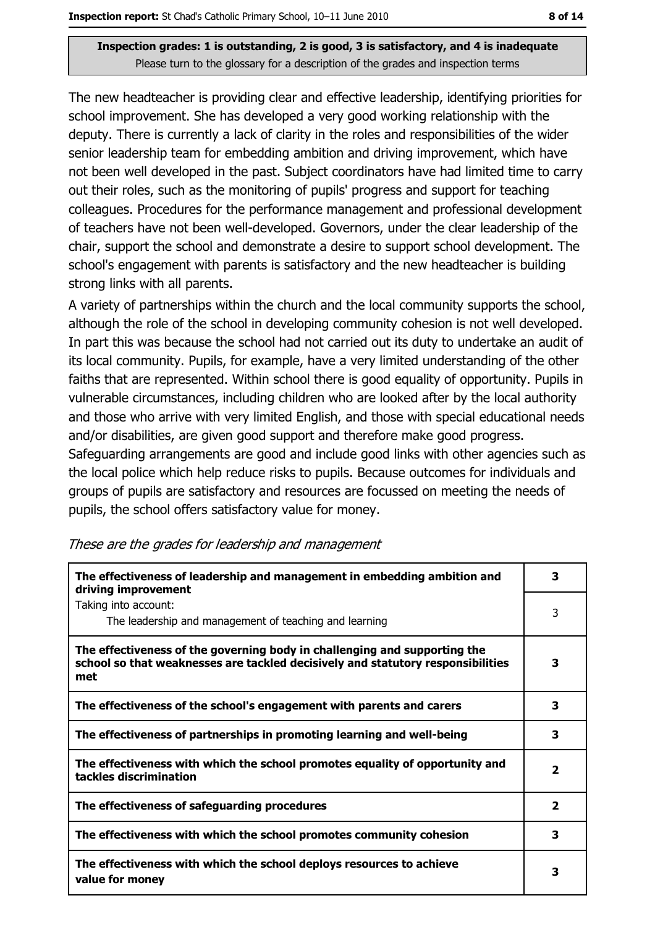The new headteacher is providing clear and effective leadership, identifying priorities for school improvement. She has developed a very good working relationship with the deputy. There is currently a lack of clarity in the roles and responsibilities of the wider senior leadership team for embedding ambition and driving improvement, which have not been well developed in the past. Subject coordinators have had limited time to carry out their roles, such as the monitoring of pupils' progress and support for teaching colleagues. Procedures for the performance management and professional development of teachers have not been well-developed. Governors, under the clear leadership of the chair, support the school and demonstrate a desire to support school development. The school's engagement with parents is satisfactory and the new headteacher is building strong links with all parents.

A variety of partnerships within the church and the local community supports the school, although the role of the school in developing community cohesion is not well developed. In part this was because the school had not carried out its duty to undertake an audit of its local community. Pupils, for example, have a very limited understanding of the other faiths that are represented. Within school there is good equality of opportunity. Pupils in vulnerable circumstances, including children who are looked after by the local authority and those who arrive with very limited English, and those with special educational needs and/or disabilities, are given good support and therefore make good progress. Safeguarding arrangements are good and include good links with other agencies such as the local police which help reduce risks to pupils. Because outcomes for individuals and groups of pupils are satisfactory and resources are focussed on meeting the needs of pupils, the school offers satisfactory value for money.

| The effectiveness of leadership and management in embedding ambition and<br>driving improvement                                                                     |                         |  |  |  |
|---------------------------------------------------------------------------------------------------------------------------------------------------------------------|-------------------------|--|--|--|
| Taking into account:<br>The leadership and management of teaching and learning                                                                                      | 3                       |  |  |  |
| The effectiveness of the governing body in challenging and supporting the<br>school so that weaknesses are tackled decisively and statutory responsibilities<br>met | 3                       |  |  |  |
| The effectiveness of the school's engagement with parents and carers                                                                                                | 3                       |  |  |  |
| The effectiveness of partnerships in promoting learning and well-being                                                                                              | 3                       |  |  |  |
| The effectiveness with which the school promotes equality of opportunity and<br>tackles discrimination                                                              | $\mathbf{2}$            |  |  |  |
| The effectiveness of safeguarding procedures                                                                                                                        | $\overline{\mathbf{2}}$ |  |  |  |
| The effectiveness with which the school promotes community cohesion                                                                                                 | 3                       |  |  |  |
| The effectiveness with which the school deploys resources to achieve<br>value for money                                                                             | 3                       |  |  |  |

#### These are the grades for leadership and management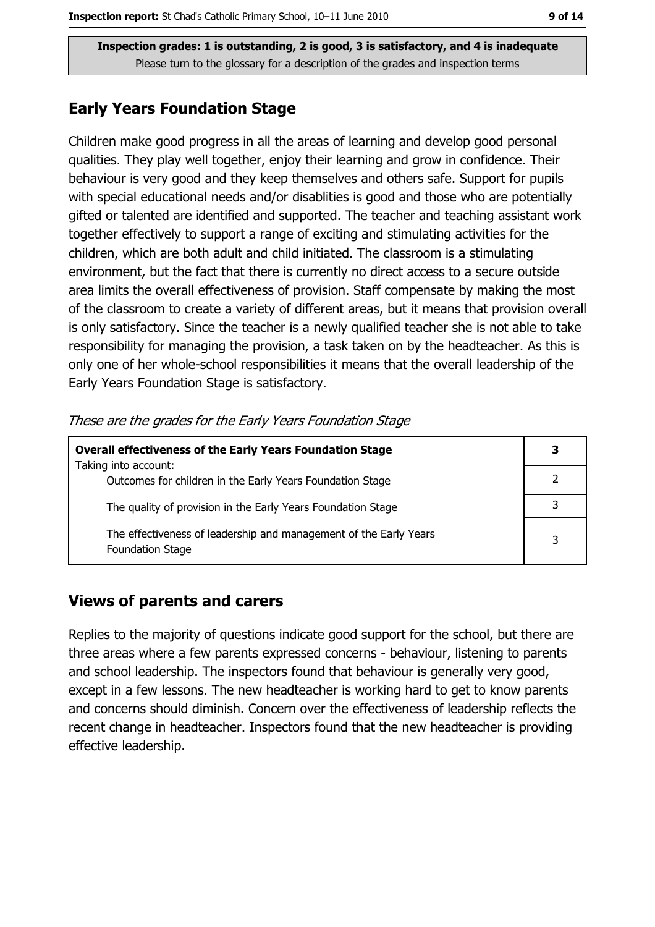## **Early Years Foundation Stage**

Children make good progress in all the areas of learning and develop good personal qualities. They play well together, enjoy their learning and grow in confidence. Their behaviour is very good and they keep themselves and others safe. Support for pupils with special educational needs and/or disablities is good and those who are potentially gifted or talented are identified and supported. The teacher and teaching assistant work together effectively to support a range of exciting and stimulating activities for the children, which are both adult and child initiated. The classroom is a stimulating environment, but the fact that there is currently no direct access to a secure outside area limits the overall effectiveness of provision. Staff compensate by making the most of the classroom to create a variety of different areas, but it means that provision overall is only satisfactory. Since the teacher is a newly qualified teacher she is not able to take responsibility for managing the provision, a task taken on by the headteacher. As this is only one of her whole-school responsibilities it means that the overall leadership of the Early Years Foundation Stage is satisfactory.

| These are the grades for the Early Years Foundation Stage |  |  |  |
|-----------------------------------------------------------|--|--|--|
|                                                           |  |  |  |

| <b>Overall effectiveness of the Early Years Foundation Stage</b>                             |   |  |
|----------------------------------------------------------------------------------------------|---|--|
| Taking into account:<br>Outcomes for children in the Early Years Foundation Stage            |   |  |
| The quality of provision in the Early Years Foundation Stage                                 |   |  |
| The effectiveness of leadership and management of the Early Years<br><b>Foundation Stage</b> | 3 |  |

## **Views of parents and carers**

Replies to the majority of questions indicate good support for the school, but there are three areas where a few parents expressed concerns - behaviour, listening to parents and school leadership. The inspectors found that behaviour is generally very good, except in a few lessons. The new headteacher is working hard to get to know parents and concerns should diminish. Concern over the effectiveness of leadership reflects the recent change in headteacher. Inspectors found that the new headteacher is providing effective leadership.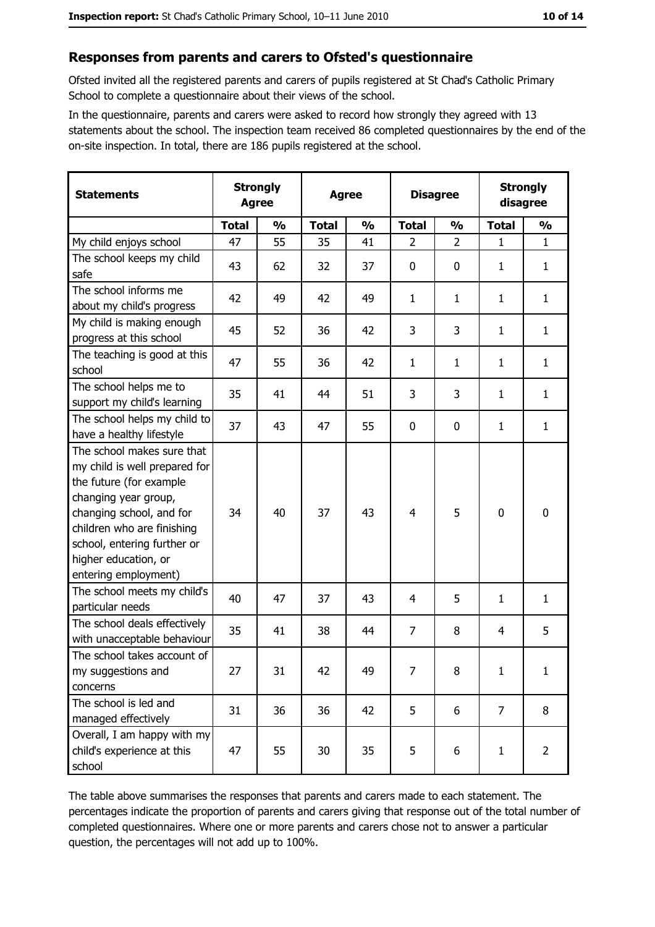#### Responses from parents and carers to Ofsted's questionnaire

Ofsted invited all the registered parents and carers of pupils registered at St Chad's Catholic Primary School to complete a questionnaire about their views of the school.

In the questionnaire, parents and carers were asked to record how strongly they agreed with 13 statements about the school. The inspection team received 86 completed questionnaires by the end of the on-site inspection. In total, there are 186 pupils registered at the school.

| <b>Statements</b>                                                                                                                                                                                                                                       | <b>Strongly</b><br><b>Agree</b> |               | <b>Strongly</b><br><b>Disagree</b><br><b>Agree</b><br>disagree |               |                |                |                |                |
|---------------------------------------------------------------------------------------------------------------------------------------------------------------------------------------------------------------------------------------------------------|---------------------------------|---------------|----------------------------------------------------------------|---------------|----------------|----------------|----------------|----------------|
|                                                                                                                                                                                                                                                         | <b>Total</b>                    | $\frac{1}{2}$ | <b>Total</b>                                                   | $\frac{0}{0}$ | <b>Total</b>   | $\frac{0}{0}$  | <b>Total</b>   | $\frac{0}{0}$  |
| My child enjoys school                                                                                                                                                                                                                                  | 47                              | 55            | 35                                                             | 41            | $\overline{2}$ | $\overline{2}$ | 1              | $\mathbf{1}$   |
| The school keeps my child<br>safe                                                                                                                                                                                                                       | 43                              | 62            | 32                                                             | 37            | $\mathbf 0$    | 0              | 1              | $\mathbf{1}$   |
| The school informs me<br>about my child's progress                                                                                                                                                                                                      | 42                              | 49            | 42                                                             | 49            | $\mathbf{1}$   | $\mathbf{1}$   | 1              | $\mathbf{1}$   |
| My child is making enough<br>progress at this school                                                                                                                                                                                                    | 45                              | 52            | 36                                                             | 42            | 3              | 3              | 1              | $\mathbf{1}$   |
| The teaching is good at this<br>school                                                                                                                                                                                                                  | 47                              | 55            | 36                                                             | 42            | 1              | $\mathbf{1}$   | 1              | $\mathbf{1}$   |
| The school helps me to<br>support my child's learning                                                                                                                                                                                                   | 35                              | 41            | 44                                                             | 51            | 3              | 3              | $\mathbf{1}$   | $\mathbf{1}$   |
| The school helps my child to<br>have a healthy lifestyle                                                                                                                                                                                                | 37                              | 43            | 47                                                             | 55            | $\mathbf 0$    | 0              | 1              | $\mathbf{1}$   |
| The school makes sure that<br>my child is well prepared for<br>the future (for example<br>changing year group,<br>changing school, and for<br>children who are finishing<br>school, entering further or<br>higher education, or<br>entering employment) | 34                              | 40            | 37                                                             | 43            | $\overline{4}$ | 5              | 0              | $\mathbf 0$    |
| The school meets my child's<br>particular needs                                                                                                                                                                                                         | 40                              | 47            | 37                                                             | 43            | 4              | 5              | 1              | $\mathbf{1}$   |
| The school deals effectively<br>with unacceptable behaviour                                                                                                                                                                                             | 35                              | 41            | 38                                                             | 44            | $\overline{7}$ | 8              | 4              | 5              |
| The school takes account of<br>my suggestions and<br>concerns                                                                                                                                                                                           | 27                              | 31            | 42                                                             | 49            | 7              | 8              | 1              | $\mathbf{1}$   |
| The school is led and<br>managed effectively                                                                                                                                                                                                            | 31                              | 36            | 36                                                             | 42            | 5              | 6              | $\overline{7}$ | 8              |
| Overall, I am happy with my<br>child's experience at this<br>school                                                                                                                                                                                     | 47                              | 55            | 30                                                             | 35            | 5              | 6              | 1              | $\overline{2}$ |

The table above summarises the responses that parents and carers made to each statement. The percentages indicate the proportion of parents and carers giving that response out of the total number of completed questionnaires. Where one or more parents and carers chose not to answer a particular question, the percentages will not add up to 100%.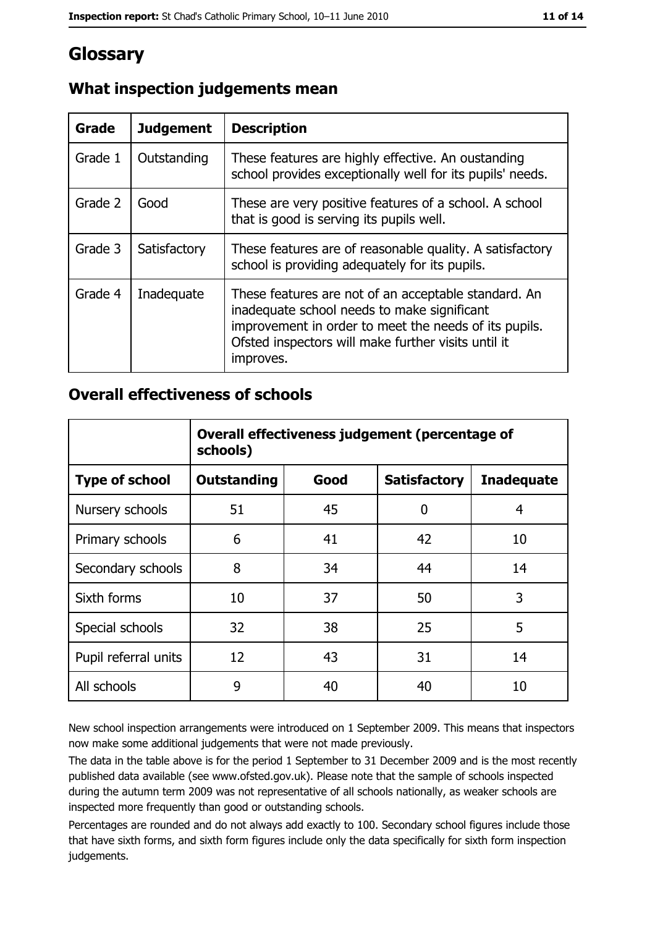# Glossary

| Grade   | <b>Judgement</b> | <b>Description</b>                                                                                                                                                                                                               |
|---------|------------------|----------------------------------------------------------------------------------------------------------------------------------------------------------------------------------------------------------------------------------|
| Grade 1 | Outstanding      | These features are highly effective. An oustanding<br>school provides exceptionally well for its pupils' needs.                                                                                                                  |
| Grade 2 | Good             | These are very positive features of a school. A school<br>that is good is serving its pupils well.                                                                                                                               |
| Grade 3 | Satisfactory     | These features are of reasonable quality. A satisfactory<br>school is providing adequately for its pupils.                                                                                                                       |
| Grade 4 | Inadequate       | These features are not of an acceptable standard. An<br>inadequate school needs to make significant<br>improvement in order to meet the needs of its pupils.<br>Ofsted inspectors will make further visits until it<br>improves. |

# What inspection judgements mean

## **Overall effectiveness of schools**

|                       | Overall effectiveness judgement (percentage of<br>schools) |                                                  |    |    |  |  |  |  |  |
|-----------------------|------------------------------------------------------------|--------------------------------------------------|----|----|--|--|--|--|--|
| <b>Type of school</b> | <b>Outstanding</b>                                         | Good<br><b>Satisfactory</b><br><b>Inadequate</b> |    |    |  |  |  |  |  |
| Nursery schools       | 51                                                         | 45                                               | 0  | 4  |  |  |  |  |  |
| Primary schools       | 6                                                          | 41                                               | 42 | 10 |  |  |  |  |  |
| Secondary schools     | 8                                                          | 34                                               | 44 | 14 |  |  |  |  |  |
| Sixth forms           | 10                                                         | 37                                               | 50 | 3  |  |  |  |  |  |
| Special schools       | 32                                                         | 38                                               | 25 | 5  |  |  |  |  |  |
| Pupil referral units  | 12                                                         | 43                                               | 31 | 14 |  |  |  |  |  |
| All schools           | 9                                                          | 40                                               | 40 | 10 |  |  |  |  |  |

New school inspection arrangements were introduced on 1 September 2009. This means that inspectors now make some additional judgements that were not made previously.

The data in the table above is for the period 1 September to 31 December 2009 and is the most recently published data available (see www.ofsted.gov.uk). Please note that the sample of schools inspected during the autumn term 2009 was not representative of all schools nationally, as weaker schools are inspected more frequently than good or outstanding schools.

Percentages are rounded and do not always add exactly to 100. Secondary school figures include those that have sixth forms, and sixth form figures include only the data specifically for sixth form inspection judgements.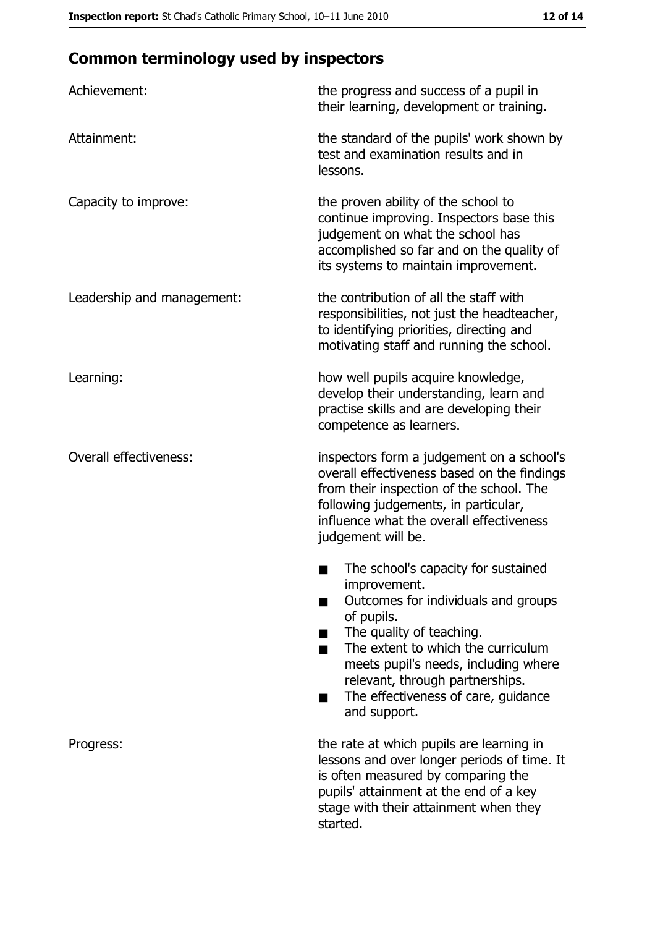# **Common terminology used by inspectors**

| Achievement:                  | the progress and success of a pupil in<br>their learning, development or training.                                                                                                                                                                                                                           |
|-------------------------------|--------------------------------------------------------------------------------------------------------------------------------------------------------------------------------------------------------------------------------------------------------------------------------------------------------------|
| Attainment:                   | the standard of the pupils' work shown by<br>test and examination results and in<br>lessons.                                                                                                                                                                                                                 |
| Capacity to improve:          | the proven ability of the school to<br>continue improving. Inspectors base this<br>judgement on what the school has<br>accomplished so far and on the quality of<br>its systems to maintain improvement.                                                                                                     |
| Leadership and management:    | the contribution of all the staff with<br>responsibilities, not just the headteacher,<br>to identifying priorities, directing and<br>motivating staff and running the school.                                                                                                                                |
| Learning:                     | how well pupils acquire knowledge,<br>develop their understanding, learn and<br>practise skills and are developing their<br>competence as learners.                                                                                                                                                          |
| <b>Overall effectiveness:</b> | inspectors form a judgement on a school's<br>overall effectiveness based on the findings<br>from their inspection of the school. The<br>following judgements, in particular,<br>influence what the overall effectiveness<br>judgement will be.                                                               |
|                               | The school's capacity for sustained<br>improvement.<br>Outcomes for individuals and groups<br>of pupils.<br>The quality of teaching.<br>The extent to which the curriculum<br>meets pupil's needs, including where<br>relevant, through partnerships.<br>The effectiveness of care, guidance<br>and support. |
| Progress:                     | the rate at which pupils are learning in<br>lessons and over longer periods of time. It<br>is often measured by comparing the<br>pupils' attainment at the end of a key<br>stage with their attainment when they<br>started.                                                                                 |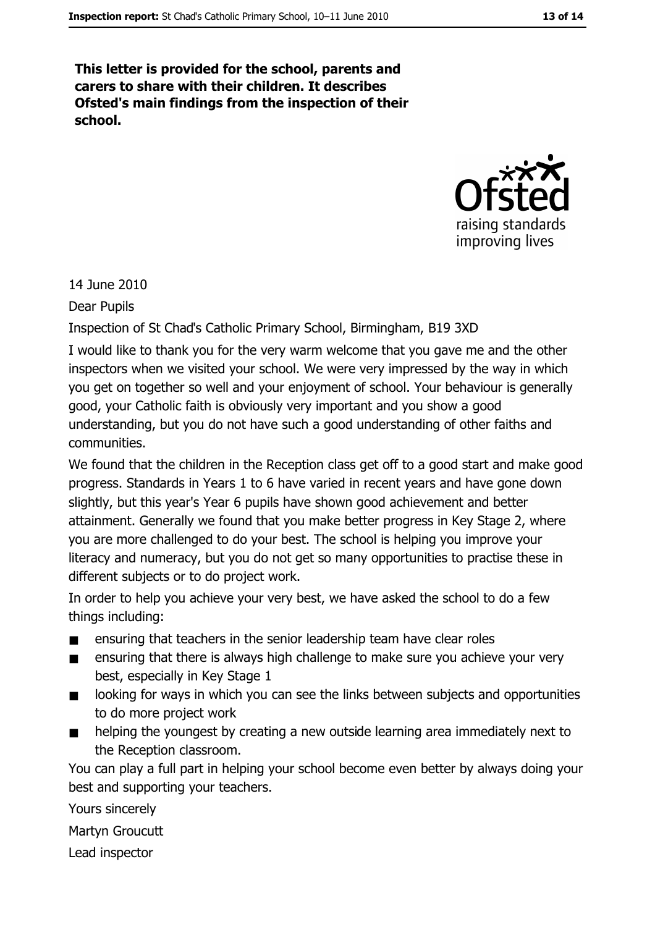This letter is provided for the school, parents and carers to share with their children. It describes Ofsted's main findings from the inspection of their school.



14 June 2010

**Dear Pupils** 

Inspection of St Chad's Catholic Primary School, Birmingham, B19 3XD

I would like to thank you for the very warm welcome that you gave me and the other inspectors when we visited your school. We were very impressed by the way in which you get on together so well and your enjoyment of school. Your behaviour is generally good, your Catholic faith is obviously very important and you show a good understanding, but you do not have such a good understanding of other faiths and communities.

We found that the children in the Reception class get off to a good start and make good progress. Standards in Years 1 to 6 have varied in recent years and have gone down slightly, but this year's Year 6 pupils have shown good achievement and better attainment. Generally we found that you make better progress in Key Stage 2, where you are more challenged to do your best. The school is helping you improve your literacy and numeracy, but you do not get so many opportunities to practise these in different subjects or to do project work.

In order to help you achieve your very best, we have asked the school to do a few things including:

- ensuring that teachers in the senior leadership team have clear roles  $\blacksquare$
- ensuring that there is always high challenge to make sure you achieve your very best, especially in Key Stage 1
- looking for ways in which you can see the links between subjects and opportunities  $\blacksquare$ to do more project work
- helping the youngest by creating a new outside learning area immediately next to the Reception classroom.

You can play a full part in helping your school become even better by always doing your best and supporting your teachers.

Yours sincerely

Martyn Groucutt

Lead inspector